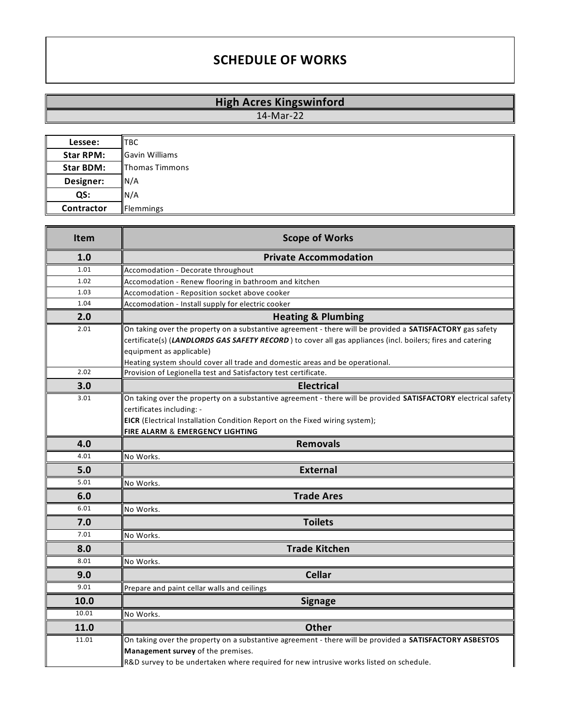## **SCHEDULE OF WORKS**

## **High Acres Kingswinford**

14-Mar-22

| Lessee:          | <b>TBC</b>            |
|------------------|-----------------------|
| <b>Star RPM:</b> | <b>Gavin Williams</b> |
| <b>Star BDM:</b> | Thomas Timmons        |
| Designer:        | N/A                   |
| QS:              | N/A                   |
| Contractor       | Flemmings             |

| Item  | <b>Scope of Works</b>                                                                                                                                                                                                                   |
|-------|-----------------------------------------------------------------------------------------------------------------------------------------------------------------------------------------------------------------------------------------|
| 1.0   | <b>Private Accommodation</b>                                                                                                                                                                                                            |
| 1.01  | Accomodation - Decorate throughout                                                                                                                                                                                                      |
| 1.02  | Accomodation - Renew flooring in bathroom and kitchen                                                                                                                                                                                   |
| 1.03  | Accomodation - Reposition socket above cooker                                                                                                                                                                                           |
| 1.04  | Accomodation - Install supply for electric cooker                                                                                                                                                                                       |
| 2.0   | <b>Heating &amp; Plumbing</b>                                                                                                                                                                                                           |
| 2.01  | On taking over the property on a substantive agreement - there will be provided a SATISFACTORY gas safety                                                                                                                               |
|       | certificate(s) (LANDLORDS GAS SAFETY RECORD) to cover all gas appliances (incl. boilers; fires and catering                                                                                                                             |
|       | equipment as applicable)                                                                                                                                                                                                                |
|       | Heating system should cover all trade and domestic areas and be operational.                                                                                                                                                            |
| 2.02  | Provision of Legionella test and Satisfactory test certificate.                                                                                                                                                                         |
| 3.0   | <b>Electrical</b>                                                                                                                                                                                                                       |
| 3.01  | On taking over the property on a substantive agreement - there will be provided <b>SATISFACTORY</b> electrical safety                                                                                                                   |
|       | certificates including: -                                                                                                                                                                                                               |
|       | EICR (Electrical Installation Condition Report on the Fixed wiring system);                                                                                                                                                             |
|       | FIRE ALARM & EMERGENCY LIGHTING                                                                                                                                                                                                         |
| 4.0   | <b>Removals</b>                                                                                                                                                                                                                         |
| 4.01  | No Works.                                                                                                                                                                                                                               |
| 5.0   | <b>External</b>                                                                                                                                                                                                                         |
| 5.01  | No Works.                                                                                                                                                                                                                               |
| 6.0   | <b>Trade Ares</b>                                                                                                                                                                                                                       |
| 6.01  | No Works.                                                                                                                                                                                                                               |
| 7.0   | <b>Toilets</b>                                                                                                                                                                                                                          |
| 7.01  | No Works.                                                                                                                                                                                                                               |
| 8.0   | <b>Trade Kitchen</b>                                                                                                                                                                                                                    |
| 8.01  | No Works.                                                                                                                                                                                                                               |
| 9.0   | <b>Cellar</b>                                                                                                                                                                                                                           |
| 9.01  | Prepare and paint cellar walls and ceilings                                                                                                                                                                                             |
| 10.0  | <b>Signage</b>                                                                                                                                                                                                                          |
| 10.01 | No Works.                                                                                                                                                                                                                               |
| 11.0  | <b>Other</b>                                                                                                                                                                                                                            |
| 11.01 | On taking over the property on a substantive agreement - there will be provided a SATISFACTORY ASBESTOS<br>Management survey of the premises.<br>R&D survey to be undertaken where required for new intrusive works listed on schedule. |